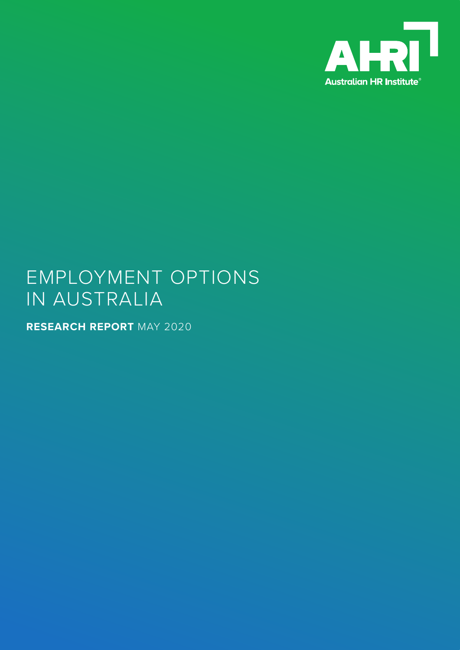

# EMPLOYMENT OPTIONS IN AUSTRALIA

**RESEARCH REPORT** MAY 2020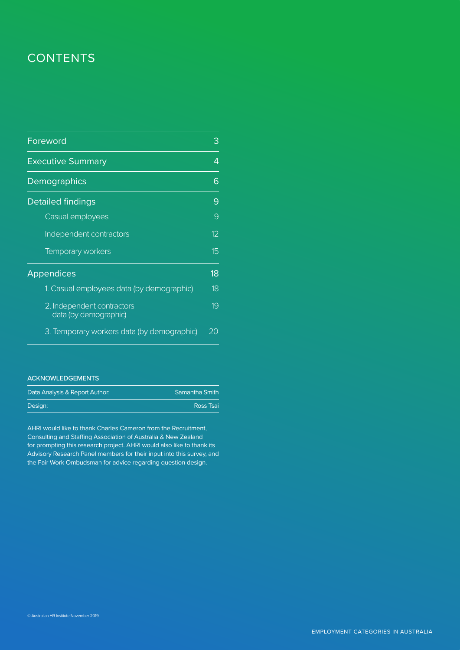## **CONTENTS**

| Foreword                                            | З               |
|-----------------------------------------------------|-----------------|
| <b>Executive Summary</b>                            | 4               |
| Demographics                                        | 6               |
| <b>Detailed findings</b>                            | 9               |
| Casual employees                                    | 9               |
| Independent contractors                             | 12 <sup>°</sup> |
| <b>Temporary workers</b>                            | 15              |
| <b>Appendices</b>                                   | 18              |
| 1. Casual employees data (by demographic)           | 18              |
| 2. Independent contractors<br>data (by demographic) | 19              |
| 3. Temporary workers data (by demographic)          | 20              |

### ACKNOWLEDGEMENTS

| Data Analysis & Report Author: | Samantha Smith |
|--------------------------------|----------------|
| Desian:                        | Ross Tsai      |

AHRI would like to thank Charles Cameron from the Recruitment, Consulting and Staffing Association of Australia & New Zealand for prompting this research project. AHRI would also like to thank its Advisory Research Panel members for their input into this survey, and the Fair Work Ombudsman for advice regarding question design.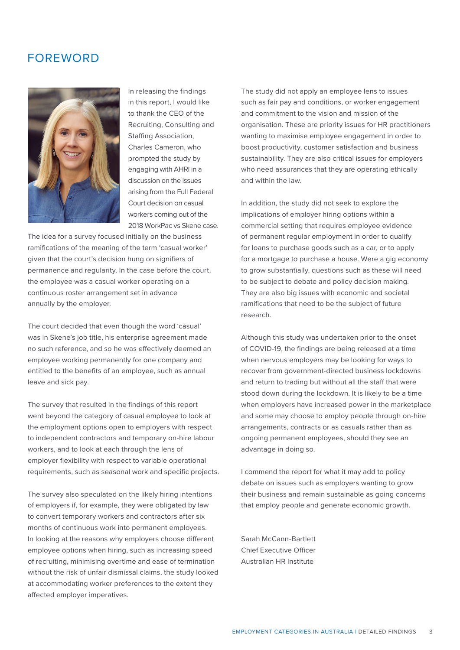## FOREWORD



In releasing the findings in this report, I would like to thank the CEO of the Recruiting, Consulting and Staffing Association, Charles Cameron, who prompted the study by engaging with AHRI in a discussion on the issues arising from the Full Federal Court decision on casual workers coming out of the 2018 WorkPac vs Skene case.

The idea for a survey focused initially on the business ramifications of the meaning of the term 'casual worker' given that the court's decision hung on signifiers of permanence and regularity. In the case before the court, the employee was a casual worker operating on a continuous roster arrangement set in advance annually by the employer.

The court decided that even though the word 'casual' was in Skene's job title, his enterprise agreement made no such reference, and so he was effectively deemed an employee working permanently for one company and entitled to the benefits of an employee, such as annual leave and sick pay.

The survey that resulted in the findings of this report went beyond the category of casual employee to look at the employment options open to employers with respect to independent contractors and temporary on-hire labour workers, and to look at each through the lens of employer flexibility with respect to variable operational requirements, such as seasonal work and specific projects.

The survey also speculated on the likely hiring intentions of employers if, for example, they were obligated by law to convert temporary workers and contractors after six months of continuous work into permanent employees. In looking at the reasons why employers choose different employee options when hiring, such as increasing speed of recruiting, minimising overtime and ease of termination without the risk of unfair dismissal claims, the study looked at accommodating worker preferences to the extent they affected employer imperatives.

The study did not apply an employee lens to issues such as fair pay and conditions, or worker engagement and commitment to the vision and mission of the organisation. These are priority issues for HR practitioners wanting to maximise employee engagement in order to boost productivity, customer satisfaction and business sustainability. They are also critical issues for employers who need assurances that they are operating ethically and within the law.

In addition, the study did not seek to explore the implications of employer hiring options within a commercial setting that requires employee evidence of permanent regular employment in order to qualify for loans to purchase goods such as a car, or to apply for a mortgage to purchase a house. Were a gig economy to grow substantially, questions such as these will need to be subject to debate and policy decision making. They are also big issues with economic and societal ramifications that need to be the subject of future research.

Although this study was undertaken prior to the onset of COVID-19, the findings are being released at a time when nervous employers may be looking for ways to recover from government-directed business lockdowns and return to trading but without all the staff that were stood down during the lockdown. It is likely to be a time when employers have increased power in the marketplace and some may choose to employ people through on-hire arrangements, contracts or as casuals rather than as ongoing permanent employees, should they see an advantage in doing so.

I commend the report for what it may add to policy debate on issues such as employers wanting to grow their business and remain sustainable as going concerns that employ people and generate economic growth.

Sarah McCann-Bartlett Chief Executive Officer Australian HR Institute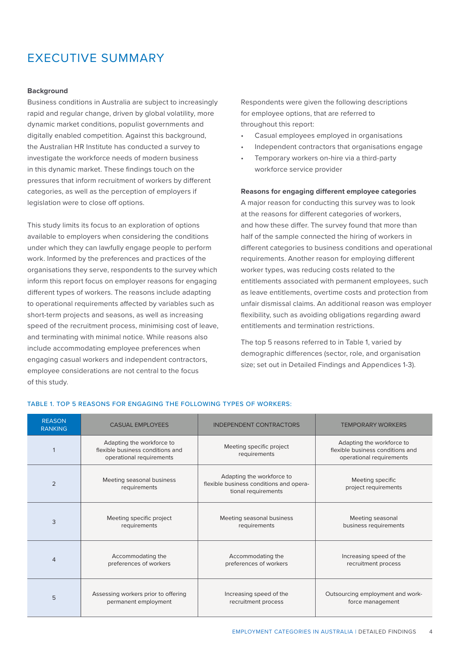## EXECUTIVE SUMMARY

#### **Background**

Business conditions in Australia are subject to increasingly rapid and regular change, driven by global volatility, more dynamic market conditions, populist governments and digitally enabled competition. Against this background, the Australian HR Institute has conducted a survey to investigate the workforce needs of modern business in this dynamic market. These findings touch on the pressures that inform recruitment of workers by different categories, as well as the perception of employers if legislation were to close off options.

This study limits its focus to an exploration of options available to employers when considering the conditions under which they can lawfully engage people to perform work. Informed by the preferences and practices of the organisations they serve, respondents to the survey which inform this report focus on employer reasons for engaging different types of workers. The reasons include adapting to operational requirements affected by variables such as short-term projects and seasons, as well as increasing speed of the recruitment process, minimising cost of leave, and terminating with minimal notice. While reasons also include accommodating employee preferences when engaging casual workers and independent contractors, employee considerations are not central to the focus of this study.

Respondents were given the following descriptions for employee options, that are referred to throughout this report:

- Casual employees employed in organisations
- Independent contractors that organisations engage
- Temporary workers on-hire via a third-party workforce service provider

#### **Reasons for engaging different employee categories**

A major reason for conducting this survey was to look at the reasons for different categories of workers, and how these differ. The survey found that more than half of the sample connected the hiring of workers in different categories to business conditions and operational requirements. Another reason for employing different worker types, was reducing costs related to the entitlements associated with permanent employees, such as leave entitlements, overtime costs and protection from unfair dismissal claims. An additional reason was employer flexibility, such as avoiding obligations regarding award entitlements and termination restrictions.

The top 5 reasons referred to in Table 1, varied by demographic differences (sector, role, and organisation size; set out in Detailed Findings and Appendices 1-3).

| <b>REASON</b><br><b>RANKING</b> | <b>CASUAL EMPLOYEES</b>                                                                   | <b>INDEPENDENT CONTRACTORS</b>                                                              | <b>TEMPORARY WORKERS</b>                                                                  |
|---------------------------------|-------------------------------------------------------------------------------------------|---------------------------------------------------------------------------------------------|-------------------------------------------------------------------------------------------|
|                                 | Adapting the workforce to<br>flexible business conditions and<br>operational requirements | Meeting specific project<br>requirements                                                    | Adapting the workforce to<br>flexible business conditions and<br>operational requirements |
| $\overline{2}$                  | Meeting seasonal business<br>requirements                                                 | Adapting the workforce to<br>flexible business conditions and opera-<br>tional requirements | Meeting specific<br>project requirements                                                  |
| 3                               | Meeting specific project<br>requirements                                                  | Meeting seasonal business<br>requirements                                                   | Meeting seasonal<br>business requirements                                                 |
| $\overline{4}$                  | Accommodating the<br>preferences of workers                                               | Accommodating the<br>preferences of workers                                                 | Increasing speed of the<br>recruitment process                                            |
| 5                               | Assessing workers prior to offering<br>permanent employment                               | Increasing speed of the<br>recruitment process                                              | Outsourcing employment and work-<br>force management                                      |

#### TABLE 1. TOP 5 REASONS FOR ENGAGING THE FOLLOWING TYPES OF WORKERS: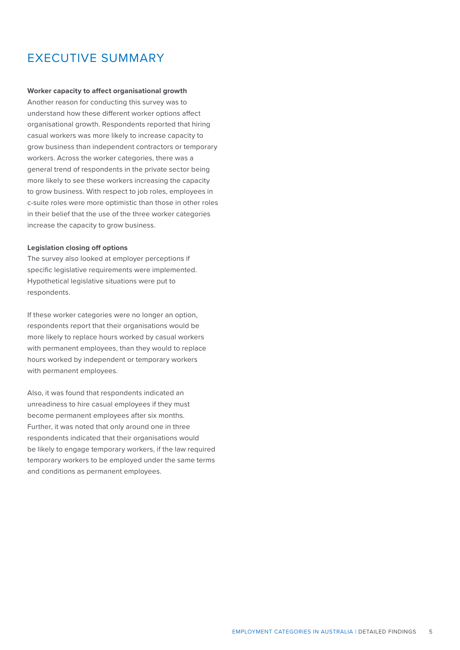## EXECUTIVE SUMMARY

#### **Worker capacity to affect organisational growth**

Another reason for conducting this survey was to understand how these different worker options affect organisational growth. Respondents reported that hiring casual workers was more likely to increase capacity to grow business than independent contractors or temporary workers. Across the worker categories, there was a general trend of respondents in the private sector being more likely to see these workers increasing the capacity to grow business. With respect to job roles, employees in c-suite roles were more optimistic than those in other roles in their belief that the use of the three worker categories increase the capacity to grow business.

#### **Legislation closing off options**

The survey also looked at employer perceptions if specific legislative requirements were implemented. Hypothetical legislative situations were put to respondents.

If these worker categories were no longer an option, respondents report that their organisations would be more likely to replace hours worked by casual workers with permanent employees, than they would to replace hours worked by independent or temporary workers with permanent employees.

Also, it was found that respondents indicated an unreadiness to hire casual employees if they must become permanent employees after six months. Further, it was noted that only around one in three respondents indicated that their organisations would be likely to engage temporary workers, if the law required temporary workers to be employed under the same terms and conditions as permanent employees.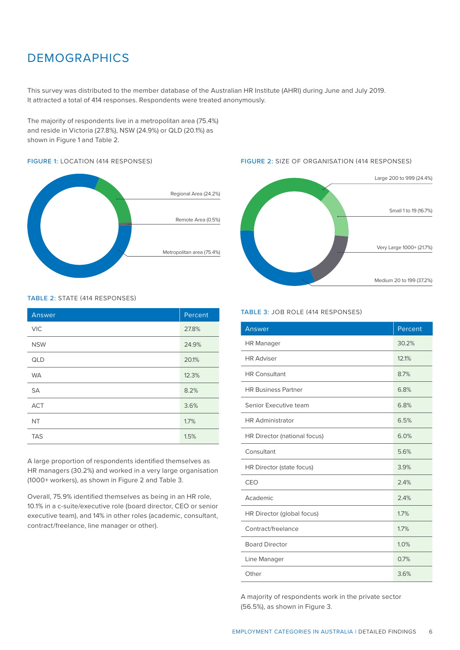## **DEMOGRAPHICS**

This survey was distributed to the member database of the Australian HR Institute (AHRI) during June and July 2019. It attracted a total of 414 responses. Respondents were treated anonymously.

The majority of respondents live in a metropolitan area (75.4%) and reside in Victoria (27.8%), NSW (24.9%) or QLD (20.1%) as shown in Figure 1 and Table 2.

#### FIGURE 1: LOCATION (414 RESPONSES)



#### TABLE 2: STATE (414 RESPONSES)

| Answer     | Percent |
|------------|---------|
| <b>VIC</b> | 27.8%   |
| <b>NSW</b> | 24.9%   |
| QLD        | 20.1%   |
| <b>WA</b>  | 12.3%   |
| <b>SA</b>  | 8.2%    |
| <b>ACT</b> | 3.6%    |
| <b>NT</b>  | 1.7%    |
| <b>TAS</b> | 1.5%    |

A large proportion of respondents identified themselves as HR managers (30.2%) and worked in a very large organisation (1000+ workers), as shown in Figure 2 and Table 3.

Overall, 75.9% identified themselves as being in an HR role, 10.1% in a c-suite/executive role (board director, CEO or senior executive team), and 14% in other roles (academic, consultant, contract/freelance, line manager or other).

### FIGURE 2: SIZE OF ORGANISATION (414 RESPONSES)



#### TABLE 3: JOB ROLE (414 RESPONSES)

| Answer                       | Percent |
|------------------------------|---------|
| <b>HR Manager</b>            | 30.2%   |
| <b>HR Adviser</b>            | 12.1%   |
| <b>HR Consultant</b>         | 8.7%    |
| <b>HR Business Partner</b>   | 6.8%    |
| Senior Executive team        | 6.8%    |
| <b>HR Administrator</b>      | 6.5%    |
| HR Director (national focus) | 6.0%    |
| Consultant                   | 5.6%    |
| HR Director (state focus)    | 3.9%    |
| CEO                          | 2.4%    |
| Academic                     | 2.4%    |
| HR Director (global focus)   | 1.7%    |
| Contract/freelance           | 1.7%    |
| <b>Board Director</b>        | 1.0%    |
| Line Manager                 | 0.7%    |
| Other                        | 3.6%    |

A majority of respondents work in the private sector (56.5%), as shown in Figure 3.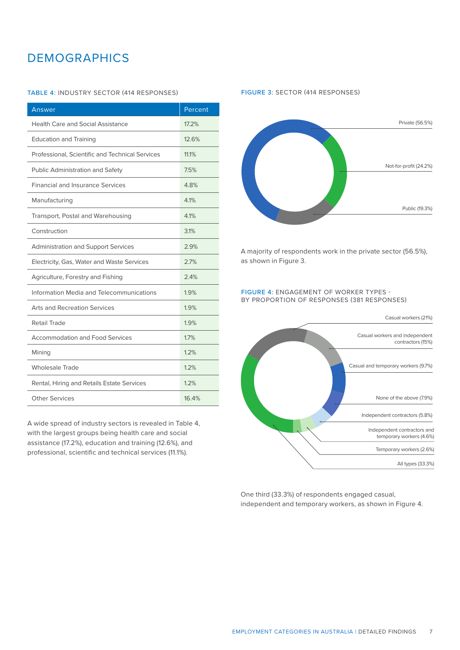## **DEMOGRAPHICS**

#### TABLE 4: INDUSTRY SECTOR (414 RESPONSES)

| Answer                                          | Percent |
|-------------------------------------------------|---------|
| <b>Health Care and Social Assistance</b>        | 17.2%   |
| <b>Education and Training</b>                   | 12.6%   |
| Professional, Scientific and Technical Services | 11.1%   |
| <b>Public Administration and Safety</b>         | 7.5%    |
| <b>Financial and Insurance Services</b>         | 4.8%    |
| Manufacturing                                   | 4.1%    |
| Transport, Postal and Warehousing               | 4.1%    |
| Construction                                    | 3.1%    |
| <b>Administration and Support Services</b>      | 2.9%    |
| Electricity, Gas, Water and Waste Services      | 2.7%    |
| Agriculture, Forestry and Fishing               | 2.4%    |
| Information Media and Telecommunications        | 1.9%    |
| <b>Arts and Recreation Services</b>             | 1.9%    |
| Retail Trade                                    | 1.9%    |
| <b>Accommodation and Food Services</b>          | 1.7%    |
| Mining                                          | 1.2%    |
| <b>Wholesale Trade</b>                          | 1.2%    |
| Rental, Hiring and Retails Estate Services      | 1.2%    |
| <b>Other Services</b>                           | 16.4%   |

A wide spread of industry sectors is revealed in Table 4, with the largest groups being health care and social assistance (17.2%), education and training (12.6%), and professional, scientific and technical services (11.1%).

#### FIGURE 3: SECTOR (414 RESPONSES)



A majority of respondents work in the private sector (56.5%), as shown in Figure 3.

#### FIGURE 4: ENGAGEMENT OF WORKER TYPES - BY PROPORTION OF RESPONSES (381 RESPONSES)



One third (33.3%) of respondents engaged casual, independent and temporary workers, as shown in Figure 4.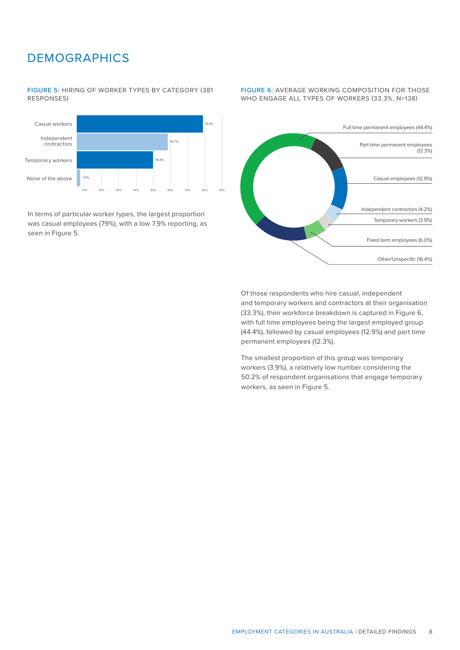## **DEMOGRAPHICS**

FIGURE 5: HIRING OF WORKER TYPES BY CATEGORY (381 RESPONSES)



In terms of particular worker types, the largest proportion was casual employees (79%), with a low 7.9% reporting, as seen in Figure 5.

#### FIGURE 6: AVERAGE WORKING COMPOSITION FOR THOSE WHO ENGAGE ALL TYPES OF WORKERS (33.3%, N=138)



Of those respondents who hire casual, independent and temporary workers and contractors at their organisation (33.3%), their workforce breakdown is captured in Figure 6, with full time employees being the largest employed group (44.4%), followed by casual employees (12.9%) and part time permanent employees (12.3%).

The smallest proportion of this group was temporary workers (3.9%), a relatively low number considering the 50.2% of respondent organisations that engage temporary workers, as seen in Figure 5.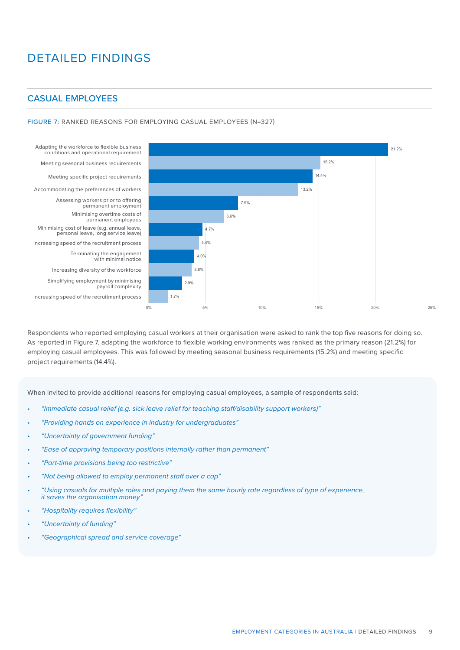## CASUAL EMPLOYEES

#### FIGURE 7: RANKED REASONS FOR EMPLOYING CASUAL EMPLOYEES (N=327)

Adapting the workforce to flexible business conditions and operational requirement Meeting seasonal business requirements Meeting specific project requirements Accommodating the preferences of workers Assessing workers prior to offering permanent employment Minimising overtime costs of permanent employees Minimising cost of leave (e.g. annual leave, personal leave, long service leave) Increasing speed of the recruitment process Terminating the engagement with minimal notice Increasing diversity of the workforce Simplifying employment by minimising payroll complexity Increasing speed of the recruitment process



Respondents who reported employing casual workers at their organisation were asked to rank the top five reasons for doing so. As reported in Figure 7, adapting the workforce to flexible working environments was ranked as the primary reason (21.2%) for employing casual employees. This was followed by meeting seasonal business requirements (15.2%) and meeting specific project requirements (14.4%).

When invited to provide additional reasons for employing casual employees, a sample of respondents said:

- *• "Immediate casual relief (e.g. sick leave relief for teaching staff/disability support workers)"*
- *• "Providing hands on experience in industry for undergraduates"*
- *• "Uncertainty of government funding"*
- *• "Ease of approving temporary positions internally rather than permanent"*
- *• "Part-time provisions being too restrictive"*
- *• "Not being allowed to employ permanent staff over a cap"*
- *• "Using casuals for multiple roles and paying them the same hourly rate regardless of type of experience, it saves the organisation money"*
- *• "Hospitality requires flexibility"*
- *• "Uncertainty of funding"*
- *• "Geographical spread and service coverage"*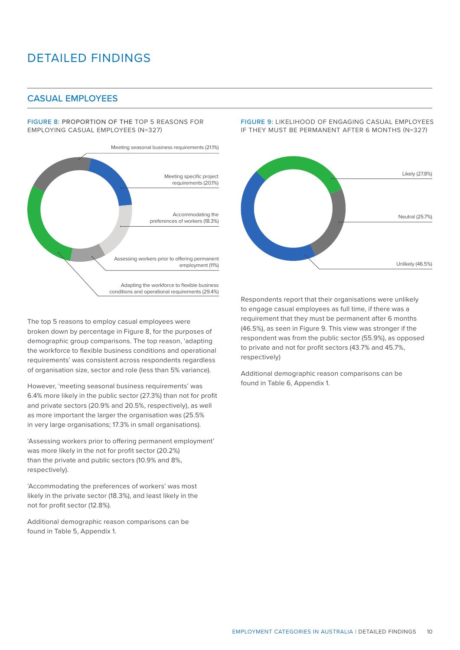## CASUAL EMPLOYEES

FIGURE 8: PROPORTION OF THE TOP 5 REASONS FOR EMPLOYING CASUAL EMPLOYEES (N=327)



The top 5 reasons to employ casual employees were broken down by percentage in Figure 8, for the purposes of demographic group comparisons. The top reason, 'adapting the workforce to flexible business conditions and operational requirements' was consistent across respondents regardless of organisation size, sector and role (less than 5% variance).

However, 'meeting seasonal business requirements' was 6.4% more likely in the public sector (27.3%) than not for profit and private sectors (20.9% and 20.5%, respectively), as well as more important the larger the organisation was (25.5% in very large organisations; 17.3% in small organisations).

'Assessing workers prior to offering permanent employment' was more likely in the not for profit sector (20.2%) than the private and public sectors (10.9% and 8%, respectively).

'Accommodating the preferences of workers' was most likely in the private sector (18.3%), and least likely in the not for profit sector (12.8%).

Additional demographic reason comparisons can be found in Table 5, Appendix 1.

FIGURE 9: LIKELIHOOD OF ENGAGING CASUAL EMPLOYEES IF THEY MUST BE PERMANENT AFTER 6 MONTHS (N=327)



Respondents report that their organisations were unlikely to engage casual employees as full time, if there was a requirement that they must be permanent after 6 months (46.5%), as seen in Figure 9. This view was stronger if the respondent was from the public sector (55.9%), as opposed to private and not for profit sectors (43.7% and 45.7%, respectively)

Additional demographic reason comparisons can be found in Table 6, Appendix 1.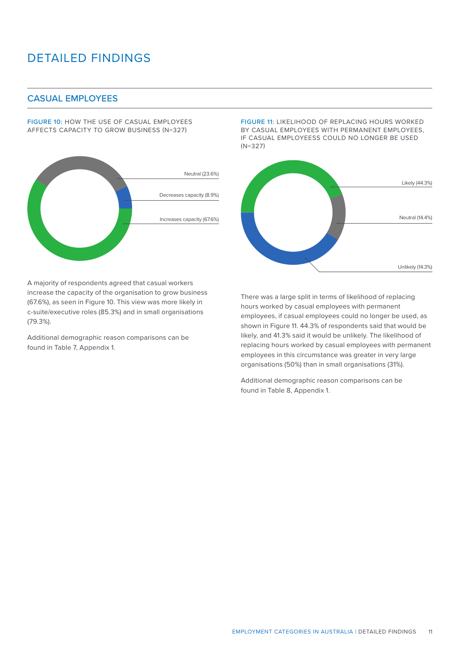## CASUAL EMPLOYEES

FIGURE 10: HOW THE USE OF CASUAL EMPLOYEES AFFECTS CAPACITY TO GROW BUSINESS (N=327)



A majority of respondents agreed that casual workers increase the capacity of the organisation to grow business (67.6%), as seen in Figure 10. This view was more likely in c-suite/executive roles (85.3%) and in small organisations (79.3%).

Additional demographic reason comparisons can be found in Table 7, Appendix 1.

FIGURE 11: LIKELIHOOD OF REPLACING HOURS WORKED BY CASUAL EMPLOYEES WITH PERMANENT EMPLOYEES, IF CASUAL EMPLOYEESS COULD NO LONGER BE USED (N=327)



There was a large split in terms of likelihood of replacing hours worked by casual employees with permanent employees, if casual employees could no longer be used, as shown in Figure 11. 44.3% of respondents said that would be likely, and 41.3% said it would be unlikely. The likelihood of replacing hours worked by casual employees with permanent employees in this circumstance was greater in very large organisations (50%) than in small organisations (31%).

Additional demographic reason comparisons can be found in Table 8, Appendix 1.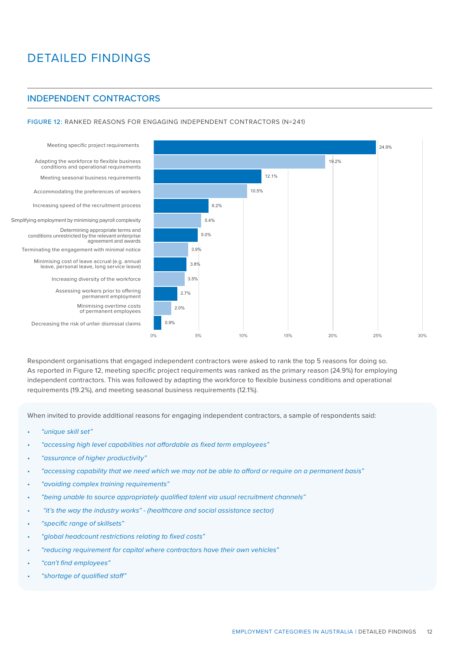## INDEPENDENT CONTRACTORS

FIGURE 12: RANKED REASONS FOR ENGAGING INDEPENDENT CONTRACTORS (N=241)

Assessing workers prior to offering permanent employment Increasing diversity of the workforce Minimising cost of leave accrual (e.g. annual leave, personal leave, long service leave) Terminating the engagement with minimal notice Determining appropriate terms and conditions unrestricted by the relevant enterprise agreement and awards Simplifying employment by minimising payroll complexity Increasing speed of the recruitment process Accommodating the preferences of workers Meeting seasonal business requirements Adapting the workforce to flexible business conditions and operational requirements

Decreasing the risk of unfair dismissal claims

Minimising overtime costs of permanent employees



Respondent organisations that engaged independent contractors were asked to rank the top 5 reasons for doing so. As reported in Figure 12, meeting specific project requirements was ranked as the primary reason (24.9%) for employing independent contractors. This was followed by adapting the workforce to flexible business conditions and operational requirements (19.2%), and meeting seasonal business requirements (12.1%).

When invited to provide additional reasons for engaging independent contractors, a sample of respondents said:

- *• "unique skill set"*
- *• "accessing high level capabilities not affordable as fixed term employees"*
- *• "assurance of higher productivity"*
- *• "accessing capability that we need which we may not be able to afford or require on a permanent basis"*
- *• "avoiding complex training requirements"*
- *• "being unable to source appropriately qualified talent via usual recruitment channels"*
- *"it's the way the industry works" (healthcare and social assistance sector)*
- *• "specific range of skillsets"*
- *• "global headcount restrictions relating to fixed costs"*
- *• "reducing requirement for capital where contractors have their own vehicles"*
- *• "can't find employees"*
- *• "shortage of qualified staff"*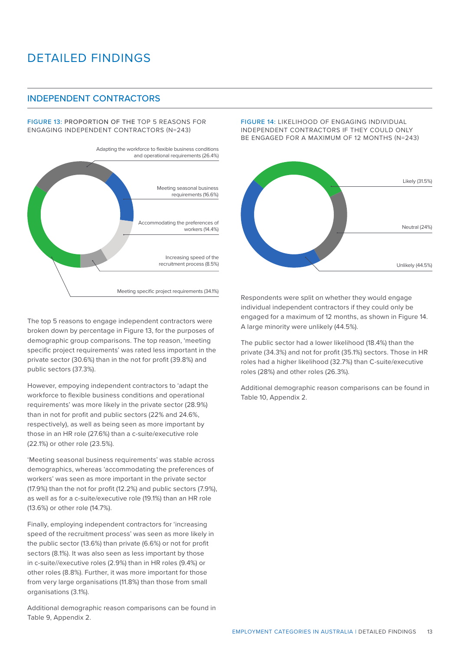### INDEPENDENT CONTRACTORS

FIGURE 13: PROPORTION OF THE TOP 5 REASONS FOR ENGAGING INDEPENDENT CONTRACTORS (N=243)



The top 5 reasons to engage independent contractors were broken down by percentage in Figure 13, for the purposes of demographic group comparisons. The top reason, 'meeting specific project requirements' was rated less important in the private sector (30.6%) than in the not for profit (39.8%) and public sectors (37.3%).

However, empoying independent contractors to 'adapt the workforce to flexible business conditions and operational requirements' was more likely in the private sector (28.9%) than in not for profit and public sectors (22% and 24.6%, respectively), as well as being seen as more important by those in an HR role (27.6%) than a c-suite/executive role (22.1%) or other role (23.5%).

'Meeting seasonal business requirements' was stable across demographics, whereas 'accommodating the preferences of workers' was seen as more important in the private sector (17.9%) than the not for profit (12.2%) and public sectors (7.9%), as well as for a c-suite/executive role (19.1%) than an HR role (13.6%) or other role (14.7%).

Finally, employing independent contractors for 'increasing speed of the recruitment process' was seen as more likely in the public sector (13.6%) than private (6.6%) or not for profit sectors (8.1%). It was also seen as less important by those in c-suite//executive roles (2.9%) than in HR roles (9.4%) or other roles (8.8%). Further, it was more important for those from very large organisations (11.8%) than those from small organisations (3.1%).

Additional demographic reason comparisons can be found in Table 9, Appendix 2.

FIGURE 14: LIKELIHOOD OF ENGAGING INDIVIDUAL INDEPENDENT CONTRACTORS IF THEY COULD ONLY BE ENGAGED FOR A MAXIMUM OF 12 MONTHS (N=243)



Respondents were split on whether they would engage individual independent contractors if they could only be engaged for a maximum of 12 months, as shown in Figure 14. A large minority were unlikely (44.5%).

The public sector had a lower likelihood (18.4%) than the private (34.3%) and not for profit (35.1%) sectors. Those in HR roles had a higher likelihood (32.7%) than C-suite/executive roles (28%) and other roles (26.3%).

Additional demographic reason comparisons can be found in Table 10, Appendix 2.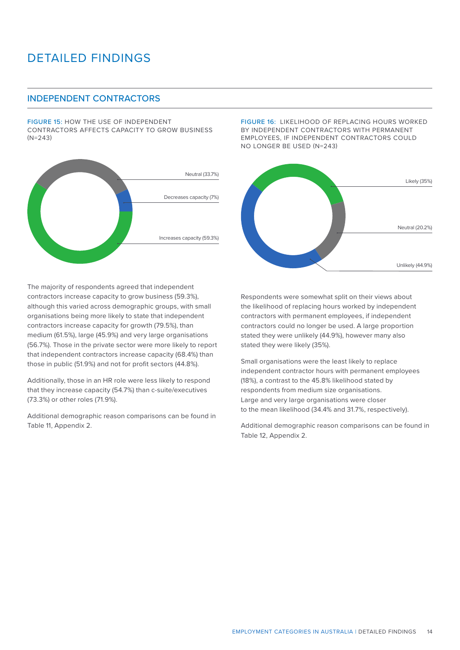## INDEPENDENT CONTRACTORS

FIGURE 15: HOW THE USE OF INDEPENDENT CONTRACTORS AFFECTS CAPACITY TO GROW BUSINESS (N=243)



FIGURE 16: LIKELIHOOD OF REPLACING HOURS WORKED BY INDEPENDENT CONTRACTORS WITH PERMANENT EMPLOYEES, IF INDEPENDENT CONTRACTORS COULD NO LONGER BE USED (N=243)



The majority of respondents agreed that independent contractors increase capacity to grow business (59.3%), although this varied across demographic groups, with small organisations being more likely to state that independent contractors increase capacity for growth (79.5%), than medium (61.5%), large (45.9%) and very large organisations (56.7%). Those in the private sector were more likely to report that independent contractors increase capacity (68.4%) than those in public (51.9%) and not for profit sectors (44.8%).

Additionally, those in an HR role were less likely to respond that they increase capacity (54.7%) than c-suite/executives (73.3%) or other roles (71.9%).

Additional demographic reason comparisons can be found in Table 11, Appendix 2.

Respondents were somewhat split on their views about the likelihood of replacing hours worked by independent contractors with permanent employees, if independent contractors could no longer be used. A large proportion stated they were unlikely (44.9%), however many also stated they were likely (35%).

Small organisations were the least likely to replace independent contractor hours with permanent employees (18%), a contrast to the 45.8% likelihood stated by respondents from medium size organisations. Large and very large organisations were closer to the mean likelihood (34.4% and 31.7%, respectively).

Additional demographic reason comparisons can be found in Table 12, Appendix 2.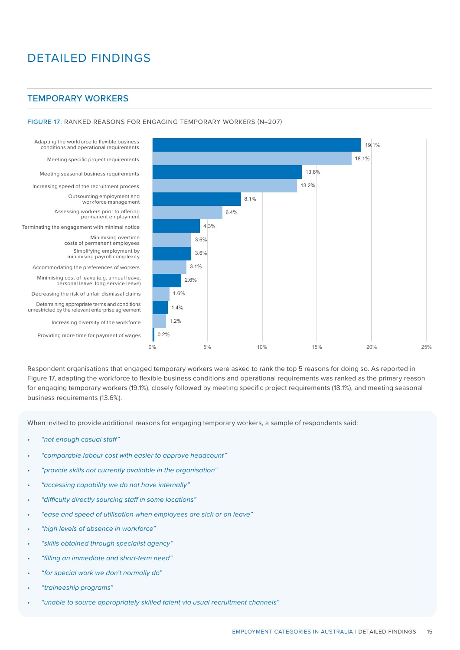### TEMPORARY WORKERS

#### FIGURE 17: RANKED REASONS FOR ENGAGING TEMPORARY WORKERS (N=207)

Adapting the workforce to flexible business conditions and operational requirements

Meeting specific project requirements

Meeting seasonal business requirements

Increasing speed of the recruitment process

Outsourcing employment and workforce management Assessing workers prior to offering permanent employment

Terminating the engagement with minimal notice

Minimising overtime costs of permanent employees Simplifying employment by minimising payroll complexity

Accommodating the preferences of workers Minimising cost of leave (e.g. annual leave, personal leave, long service leave) Decreasing the risk of unfair dismissal claims Determining appropriate terms and conditions unrestricted by the relevant enterprise agreement

Increasing diversity of the workforce

Providing more time for payment of wages



Respondent organisations that engaged temporary workers were asked to rank the top 5 reasons for doing so. As reported in Figure 17, adapting the workforce to flexible business conditions and operational requirements was ranked as the primary reason for engaging temporary workers (19.1%), closely followed by meeting specific project requirements (18.1%), and meeting seasonal business requirements (13.6%).

When invited to provide additional reasons for engaging temporary workers, a sample of respondents said:

- *• "not enough casual staff"*
- *• "comparable labour cost with easier to approve headcount"*
- *• "provide skills not currently available in the organisation"*
- *• "accessing capability we do not have internally"*
- *• "difficulty directly sourcing staff in some locations"*
- *• "ease and speed of utilisation when employees are sick or on leave"*
- *• "high levels of absence in workforce"*
- *• "skills obtained through specialist agency"*
- *• "filling an immediate and short-term need"*
- *• "for special work we don't normally do"*
- *• "traineeship programs"*
- *• "unable to source appropriately skilled talent via usual recruitment channels"*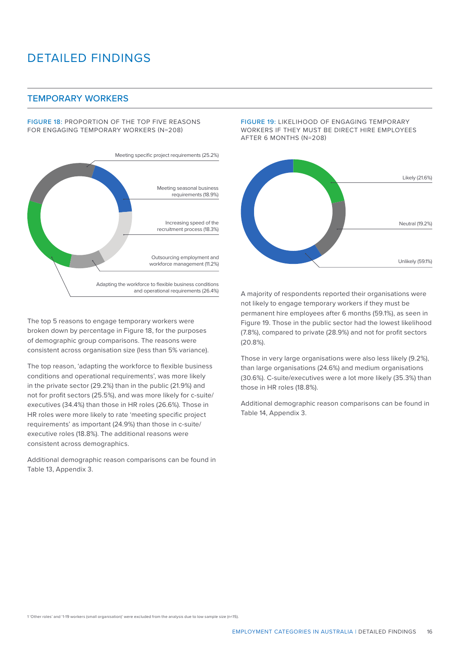### TEMPORARY WORKERS

FIGURE 18: PROPORTION OF THE TOP FIVE REASONS FOR ENGAGING TEMPORARY WORKERS (N=208)



The top 5 reasons to engage temporary workers were broken down by percentage in Figure 18, for the purposes of demographic group comparisons. The reasons were consistent across organisation size (less than 5% variance).

The top reason, 'adapting the workforce to flexible business conditions and operational requirements', was more likely in the private sector (29.2%) than in the public (21.9%) and not for profit sectors (25.5%), and was more likely for c-suite/ executives (34.4%) than those in HR roles (26.6%). Those in HR roles were more likely to rate 'meeting specific project requirements' as important (24.9%) than those in c-suite/ executive roles (18.8%). The additional reasons were consistent across demographics.

Additional demographic reason comparisons can be found in Table 13, Appendix 3.

FIGURE 19: LIKELIHOOD OF ENGAGING TEMPORARY WORKERS IF THEY MUST BE DIRECT HIRE EMPLOYEES AFTER 6 MONTHS (N=208)



A majority of respondents reported their organisations were not likely to engage temporary workers if they must be permanent hire employees after 6 months (59.1%), as seen in Figure 19. Those in the public sector had the lowest likelihood (7.8%), compared to private (28.9%) and not for profit sectors (20.8%).

Those in very large organisations were also less likely (9.2%), than large organisations (24.6%) and medium organisations (30.6%). C-suite/executives were a lot more likely (35.3%) than those in HR roles (18.8%).

Additional demographic reason comparisons can be found in Table 14, Appendix 3.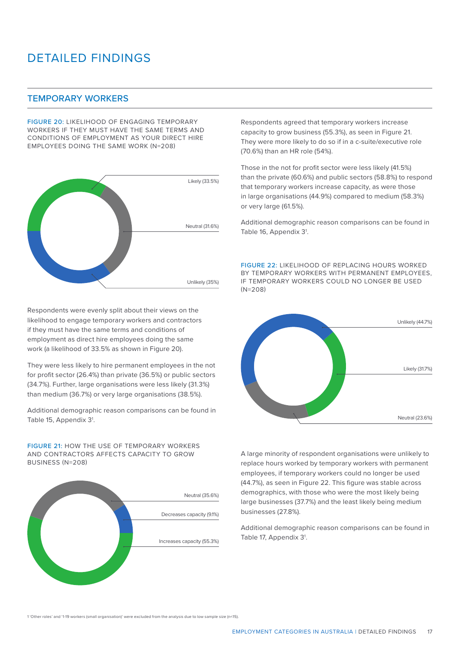## TEMPORARY WORKERS

FIGURE 20: LIKELIHOOD OF ENGAGING TEMPORARY WORKERS IF THEY MUST HAVE THE SAME TERMS AND CONDITIONS OF EMPLOYMENT AS YOUR DIRECT HIRE EMPLOYEES DOING THE SAME WORK (N=208)



Respondents were evenly split about their views on the likelihood to engage temporary workers and contractors if they must have the same terms and conditions of employment as direct hire employees doing the same work (a likelihood of 33.5% as shown in Figure 20).

They were less likely to hire permanent employees in the not for profit sector (26.4%) than private (36.5%) or public sectors (34.7%). Further, large organisations were less likely (31.3%) than medium (36.7%) or very large organisations (38.5%).

Additional demographic reason comparisons can be found in Table 15, Appendix 3<sup>1</sup>.

FIGURE 21: HOW THE USE OF TEMPORARY WORKERS AND CONTRACTORS AFFECTS CAPACITY TO GROW BUSINESS (N=208)



Respondents agreed that temporary workers increase capacity to grow business (55.3%), as seen in Figure 21. They were more likely to do so if in a c-suite/executive role (70.6%) than an HR role (54%).

Those in the not for profit sector were less likely (41.5%) than the private (60.6%) and public sectors (58.8%) to respond that temporary workers increase capacity, as were those in large organisations (44.9%) compared to medium (58.3%) or very large (61.5%).

Additional demographic reason comparisons can be found in Table 16, Appendix 3<sup>1</sup>.

FIGURE 22: LIKELIHOOD OF REPLACING HOURS WORKED BY TEMPORARY WORKERS WITH PERMANENT EMPLOYEES, IF TEMPORARY WORKERS COULD NO LONGER BE USED  $(N=208)$ 



A large minority of respondent organisations were unlikely to replace hours worked by temporary workers with permanent employees, if temporary workers could no longer be used (44.7%), as seen in Figure 22. This figure was stable across demographics, with those who were the most likely being large businesses (37.7%) and the least likely being medium businesses (27.8%).

Additional demographic reason comparisons can be found in Table 17, Appendix 3<sup>1</sup>.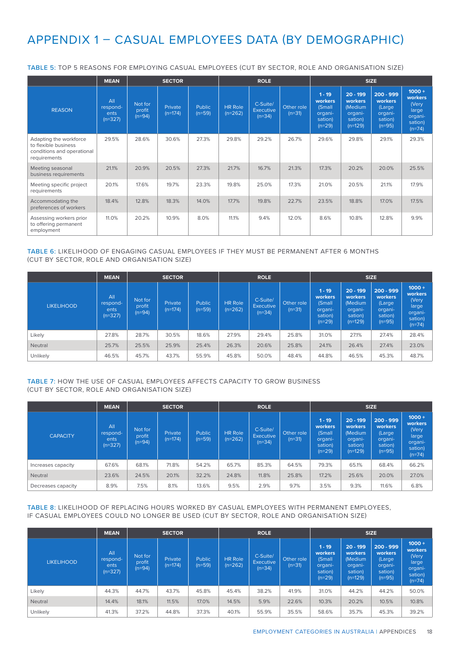## APPENDIX 1 – CASUAL EMPLOYEES DATA (BY DEMOGRAPHIC)

TABLE 5: TOP 5 REASONS FOR EMPLOYING CASUAL EMPLOYEES (CUT BY SECTOR, ROLE AND ORGANISATION SIZE)

|                                                                                              | <b>MEAN</b>                          |                               | <b>SECTOR</b>        |                           | <b>ROLE</b>                 |                                          |                        | <b>SIZE</b>                                                     |                                                                     |                                                                    |                                                                         |
|----------------------------------------------------------------------------------------------|--------------------------------------|-------------------------------|----------------------|---------------------------|-----------------------------|------------------------------------------|------------------------|-----------------------------------------------------------------|---------------------------------------------------------------------|--------------------------------------------------------------------|-------------------------------------------------------------------------|
| <b>REASON</b>                                                                                | All<br>respond-<br>ents<br>$(n=327)$ | Not for<br>profit<br>$(n=94)$ | Private<br>$(n=174)$ | <b>Public</b><br>$(n=59)$ | <b>HR Role</b><br>$(n=262)$ | C-Suite/<br><b>Executive</b><br>$(n=34)$ | Other role<br>$(n=31)$ | $1 - 19$<br>workers<br>(Small<br>organi-<br>sation)<br>$(n=29)$ | $20 - 199$<br>workers<br>(Medium<br>organi-<br>sation)<br>$(n=129)$ | $200 - 999$<br>workers<br>(Large<br>organi-<br>sation)<br>$(n=95)$ | $1000 +$<br>workers<br>(Very<br>large<br>organi-<br>sation)<br>$(n=74)$ |
| Adapting the workforce<br>to flexible business<br>conditions and operational<br>requirements | 29.5%                                | 28.6%                         | 30.6%                | 27.3%                     | 29.8%                       | 29.2%                                    | 26.7%                  | 29.6%                                                           | 29.8%                                                               | 29.1%                                                              | 29.3%                                                                   |
| Meeting seasonal<br>business requirements                                                    | 21.1%                                | 20.9%                         | 20.5%                | 27.3%                     | 21.7%                       | 16.7%                                    | 21.3%                  | 17.3%                                                           | 20.2%                                                               | 20.0%                                                              | 25.5%                                                                   |
| Meeting specific project<br>requirements                                                     | 20.1%                                | 17.6%                         | 19.7%                | 23.3%                     | 19.8%                       | 25.0%                                    | 17.3%                  | 21.0%                                                           | 20.5%                                                               | 21.1%                                                              | 17.9%                                                                   |
| Accommodating the<br>preferences of workers                                                  | 18.4%                                | 12.8%                         | 18.3%                | 14.0%                     | 17.7%                       | 19.8%                                    | 22.7%                  | 23.5%                                                           | 18.8%                                                               | 17.0%                                                              | 17.5%                                                                   |
| Assessing workers prior<br>to offering permanent<br>employment                               | 11.0%                                | 20.2%                         | 10.9%                | 8.0%                      | 11.1%                       | 9.4%                                     | 12.0%                  | 8.6%                                                            | 10.8%                                                               | 12.8%                                                              | 9.9%                                                                    |

#### TABLE 6: LIKELIHOOD OF ENGAGING CASUAL EMPLOYEES IF THEY MUST BE PERMANENT AFTER 6 MONTHS (CUT BY SECTOR, ROLE AND ORGANISATION SIZE)

|                   | <b>MEAN</b>                                      |                               | <b>SECTOR</b>        |                    | <b>ROLE</b>                 |                                   |                        | <b>SIZE</b>                                                     |                                                                     |                                                                    |                                                                                |
|-------------------|--------------------------------------------------|-------------------------------|----------------------|--------------------|-----------------------------|-----------------------------------|------------------------|-----------------------------------------------------------------|---------------------------------------------------------------------|--------------------------------------------------------------------|--------------------------------------------------------------------------------|
| <b>LIKELIHOOD</b> | Al <sub>l</sub><br>respond-<br>ents<br>$(n=327)$ | Not for<br>profit<br>$(n=94)$ | Private<br>$(n=174)$ | Public<br>$(n=59)$ | <b>HR Role</b><br>$(n=262)$ | C-Suite/<br>Executive<br>$(n=34)$ | Other role<br>$(n=31)$ | $1 - 19$<br>workers<br>(Small<br>organi-<br>sation)<br>$(n=29)$ | $20 - 199$<br>workers<br>(Medium<br>organi-<br>sation)<br>$(n=129)$ | $200 - 999$<br>workers<br>(Large<br>organi-<br>sation)<br>$(n=95)$ | $1000 +$<br><b>workers</b><br>(Very<br>large<br>organi-<br>sation)<br>$(n=74)$ |
| Likely            | 27.8%                                            | 28.7%                         | 30.5%                | 18.6%              | 27.9%                       | 29.4%                             | 25.8%                  | 31.0%                                                           | 27.1%                                                               | 27.4%                                                              | 28.4%                                                                          |
| Neutral           | 25.7%                                            | 25.5%                         | 25.9%                | 25.4%              | 26.3%                       | 20.6%                             | 25.8%                  | 24.1%                                                           | 26.4%                                                               | 27.4%                                                              | 23.0%                                                                          |
| Unlikely          | 46.5%                                            | 45.7%                         | 43.7%                | 55.9%              | 45.8%                       | 50.0%                             | 48.4%                  | 44.8%                                                           | 46.5%                                                               | 45.3%                                                              | 48.7%                                                                          |

#### TABLE 7: HOW THE USE OF CASUAL EMPLOYEES AFFECTS CAPACITY TO GROW BUSINESS (CUT BY SECTOR, ROLE AND ORGANISATION SIZE)

|                    | <b>MEAN</b>                                      |                               | <b>SECTOR</b>        |                    | <b>ROLE</b>                 |                                          |                        | <b>SIZE</b>                                                     |                                                                     |                                                                    |                                                                                |
|--------------------|--------------------------------------------------|-------------------------------|----------------------|--------------------|-----------------------------|------------------------------------------|------------------------|-----------------------------------------------------------------|---------------------------------------------------------------------|--------------------------------------------------------------------|--------------------------------------------------------------------------------|
| <b>CAPACITY</b>    | Al <sub>l</sub><br>respond-<br>ents<br>$(n=327)$ | Not for<br>profit<br>$(n=94)$ | Private<br>$(n=174)$ | Public<br>$(n=59)$ | <b>HR Role</b><br>$(n=262)$ | C-Suite/<br><b>Executive</b><br>$(n=34)$ | Other role<br>$(n=31)$ | $1 - 19$<br>workers<br>(Small<br>organi-<br>sation)<br>$(n=29)$ | $20 - 199$<br>workers<br>(Medium<br>organi-<br>sation)<br>$(n=129)$ | $200 - 999$<br>workers<br>(Large<br>organi-<br>sation)<br>$(n=95)$ | $1000 +$<br><b>workers</b><br>(Very<br>large<br>organi-<br>sation)<br>$(n=74)$ |
| Increases capacity | 67.6%                                            | 68.1%                         | 71.8%                | 54.2%              | 65.7%                       | 85.3%                                    | 64.5%                  | 79.3%                                                           | 65.1%                                                               | 68.4%                                                              | 66.2%                                                                          |
| Neutral            | 23.6%                                            | 24.5%                         | 20.1%                | 32.2%              | 24.8%                       | 11.8%                                    | 25.8%                  | 17.2%                                                           | 25.6%                                                               | 20.0%                                                              | 27.0%                                                                          |
| Decreases capacity | 8.9%                                             | 7.5%                          | 8.1%                 | 13.6%              | 9.5%                        | 2.9%                                     | 9.7%                   | 3.5%                                                            | 9.3%                                                                | 11.6%                                                              | 6.8%                                                                           |

#### TABLE 8: LIKELIHOOD OF REPLACING HOURS WORKED BY CASUAL EMPLOYEES WITH PERMANENT EMPLOYEES, IF CASUAL EMPLOYEES COULD NO LONGER BE USED (CUT BY SECTOR, ROLE AND ORGANISATION SIZE)

|                   | <b>MEAN</b>                          |                               | <b>SECTOR</b>        |                           | <b>ROLE</b>                 |                                          |                        | <b>SIZE</b>                                                     |                                                                     |                                                                    |                                                                         |
|-------------------|--------------------------------------|-------------------------------|----------------------|---------------------------|-----------------------------|------------------------------------------|------------------------|-----------------------------------------------------------------|---------------------------------------------------------------------|--------------------------------------------------------------------|-------------------------------------------------------------------------|
| <b>LIKELIHOOD</b> | All<br>respond-<br>ents<br>$(n=327)$ | Not for<br>profit<br>$(n=94)$ | Private<br>$(n=174)$ | <b>Public</b><br>$(n=59)$ | <b>HR Role</b><br>$(n=262)$ | C-Suite/<br><b>Executive</b><br>$(n=34)$ | Other role<br>$(n=31)$ | $1 - 19$<br>workers<br>(Small<br>organi-<br>sation)<br>$(n=29)$ | $20 - 199$<br>workers<br>(Medium<br>organi-<br>sation)<br>$(n=129)$ | $200 - 999$<br>workers<br>(Large<br>organi-<br>sation)<br>$(n=95)$ | $1000 +$<br>workers<br>(Very<br>large<br>organi-<br>sation)<br>$(n=74)$ |
| Likely            | 44.3%                                | 44.7%                         | 43.7%                | 45.8%                     | 45.4%                       | 38.2%                                    | 41.9%                  | 31.0%                                                           | 44.2%                                                               | 44.2%                                                              | 50.0%                                                                   |
| Neutral           | 14.4%                                | 18.1%                         | 11.5%                | 17.0%                     | 14.5%                       | 5.9%                                     | 22.6%                  | 10.3%                                                           | 20.2%                                                               | 10.5%                                                              | 10.8%                                                                   |
| <b>Unlikely</b>   | 41.3%                                | 37.2%                         | 44.8%                | 37.3%                     | 40.1%                       | 55.9%                                    | 35.5%                  | 58.6%                                                           | 35.7%                                                               | 45.3%                                                              | 39.2%                                                                   |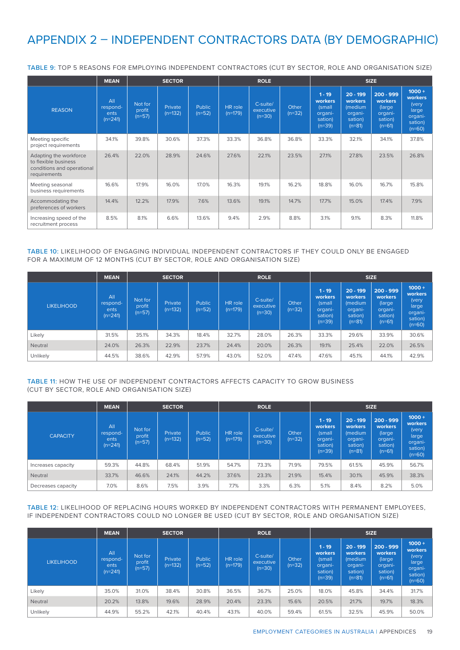## APPENDIX 2 – INDEPENDENT CONTRACTORS DATA (BY DEMOGRAPHIC)

|                                                                                              | <b>MEAN</b>                          |                               | <b>SECTOR</b>        |                           | <b>ROLE</b>          |                                   |                   | <b>SIZE</b>                                                     |                                                                    |                                                                    |                                                                         |
|----------------------------------------------------------------------------------------------|--------------------------------------|-------------------------------|----------------------|---------------------------|----------------------|-----------------------------------|-------------------|-----------------------------------------------------------------|--------------------------------------------------------------------|--------------------------------------------------------------------|-------------------------------------------------------------------------|
| <b>REASON</b>                                                                                | All<br>respond-<br>ents<br>$(n=241)$ | Not for<br>profit<br>$(n=57)$ | Private<br>$(n=132)$ | <b>Public</b><br>$(n=52)$ | HR role<br>$(n=179)$ | C-suite/<br>executive<br>$(n=30)$ | Other<br>$(n=32)$ | $1 - 19$<br>workers<br>(small<br>organi-<br>sation)<br>$(n=39)$ | $20 - 199$<br>workers<br>(medium<br>organi-<br>sation)<br>$(n=81)$ | $200 - 999$<br>workers<br>(large<br>organi-<br>sation)<br>$(n=61)$ | $1000 +$<br>workers<br>(very<br>large<br>organi-<br>sation)<br>$(n=60)$ |
| Meeting specific<br>project requirements                                                     | 34.1%                                | 39.8%                         | 30.6%                | 37.3%                     | 33.3%                | 36.8%                             | 36.8%             | 33.3%                                                           | 32.1%                                                              | 34.1%                                                              | 37.8%                                                                   |
| Adapting the workforce<br>to flexible business<br>conditions and operational<br>requirements | 26.4%                                | 22.0%                         | 28.9%                | 24.6%                     | 27.6%                | 22.1%                             | 23.5%             | 27.1%                                                           | 27.8%                                                              | 23.5%                                                              | 26.8%                                                                   |
| Meeting seasonal<br>business requirements                                                    | 16.6%                                | 17.9%                         | 16.0%                | 17.0%                     | 16.3%                | 19.1%                             | 16.2%             | 18.8%                                                           | 16.0%                                                              | 16.7%                                                              | 15.8%                                                                   |
| Accommodating the<br>preferences of workers                                                  | 14.4%                                | 12.2%                         | 17.9%                | 7.6%                      | 13.6%                | 19.1%                             | 14.7%             | 17.7%                                                           | 15.0%                                                              | 17.4%                                                              | 7.9%                                                                    |
| Increasing speed of the<br>recruitment process                                               | 8.5%                                 | 8.1%                          | 6.6%                 | 13.6%                     | 9.4%                 | 2.9%                              | 8.8%              | 3.1%                                                            | 9.1%                                                               | 8.3%                                                               | 11.8%                                                                   |

TABLE 9: TOP 5 REASONS FOR EMPLOYING INDEPENDENT CONTRACTORS (CUT BY SECTOR, ROLE AND ORGANISATION SIZE)

TABLE 10: LIKELIHOOD OF ENGAGING INDIVIDUAL INDEPENDENT CONTRACTORS IF THEY COULD ONLY BE ENGAGED FOR A MAXIMUM OF 12 MONTHS (CUT BY SECTOR, ROLE AND ORGANISATION SIZE)

|                   | <b>MEAN</b>                          |                               | <b>SECTOR</b>        |                    | <b>ROLE</b>          |                                   |                          | <b>SIZE</b>                                                     |                                                                    |                                                                    |                                                                         |
|-------------------|--------------------------------------|-------------------------------|----------------------|--------------------|----------------------|-----------------------------------|--------------------------|-----------------------------------------------------------------|--------------------------------------------------------------------|--------------------------------------------------------------------|-------------------------------------------------------------------------|
| <b>LIKELIHOOD</b> | All<br>respond-<br>ents<br>$(n=241)$ | Not for<br>profit<br>$(n=57)$ | Private<br>$(n=132)$ | Public<br>$(n=52)$ | HR role<br>$(n=179)$ | C-suite/<br>executive<br>$(n=30)$ | <b>Other</b><br>$(n=32)$ | $1 - 19$<br>workers<br>(small<br>organi-<br>sation)<br>$(n=39)$ | $20 - 199$<br>workers<br>(medium<br>organi-<br>sation)<br>$(n=81)$ | $200 - 999$<br>workers<br>(large<br>organi-<br>sation)<br>$(n=61)$ | $1000 +$<br>workers<br>(very<br>large<br>organi-<br>sation)<br>$(n=60)$ |
| Likely            | 31.5%                                | 35.1%                         | 34.3%                | 18.4%              | 32.7%                | 28.0%                             | 26.3%                    | 33.3%                                                           | 29.6%                                                              | 33.9%                                                              | 30.6%                                                                   |
| Neutral           | 24.0%                                | 26.3%                         | 22.9%                | 23.7%              | 24.4%                | 20.0%                             | 26.3%                    | 19.1%                                                           | 25.4%                                                              | 22.0%                                                              | 26.5%                                                                   |
| Unlikely          | 44.5%                                | 38.6%                         | 42.9%                | 57.9%              | 43.0%                | 52.0%                             | 47.4%                    | 47.6%                                                           | 45.1%                                                              | 44.1%                                                              | 42.9%                                                                   |

### TABLE 11: HOW THE USE OF INDEPENDENT CONTRACTORS AFFECTS CAPACITY TO GROW BUSINESS (CUT BY SECTOR, ROLE AND ORGANISATION SIZE)

|                    | <b>MEAN</b>                                      |                               | <b>SECTOR</b>        |                    |                             | <b>ROLE</b>                       |                          | <b>SIZE</b>                                                     |                                                                    |                                                                     |                                                                         |
|--------------------|--------------------------------------------------|-------------------------------|----------------------|--------------------|-----------------------------|-----------------------------------|--------------------------|-----------------------------------------------------------------|--------------------------------------------------------------------|---------------------------------------------------------------------|-------------------------------------------------------------------------|
| <b>CAPACITY</b>    | Al <sub>l</sub><br>respond-<br>ents<br>$(n=241)$ | Not for<br>profit<br>$(n=57)$ | Private<br>$(n=132)$ | Public<br>$(n=52)$ | <b>HR</b> role<br>$(n=179)$ | C-suite/<br>executive<br>$(n=30)$ | <b>Other</b><br>$(n=32)$ | $1 - 19$<br>workers<br>(small<br>organi-<br>sation)<br>$(n=39)$ | $20 - 199$<br>workers<br>(medium<br>organi-<br>sation)<br>$(n=81)$ | $200 - 999$<br>workers<br>(large)<br>organi-<br>sation)<br>$(n=61)$ | $1000 +$<br>workers<br>(very<br>large<br>organi-<br>sation)<br>$(n=60)$ |
| Increases capacity | 59.3%                                            | 44.8%                         | 68.4%                | 51.9%              | 54.7%                       | 73.3%                             | 71.9%                    | 79.5%                                                           | 61.5%                                                              | 45.9%                                                               | 56.7%                                                                   |
| Neutral            | 33.7%                                            | 46.6%                         | 24.1%                | 44.2%              | 37.6%                       | 23.3%                             | 21.9%                    | 15.4%                                                           | 30.1%                                                              | 45.9%                                                               | 38.3%                                                                   |
| Decreases capacity | 7.0%                                             | 8.6%                          | 7.5%                 | 3.9%               | 7.7%                        | 3.3%                              | 6.3%                     | 5.1%                                                            | 8.4%                                                               | 8.2%                                                                | 5.0%                                                                    |

TABLE 12: LIKELIHOOD OF REPLACING HOURS WORKED BY INDEPENDENT CONTRACTORS WITH PERMANENT EMPLOYEES, IF INDEPENDENT CONTRACTORS COULD NO LONGER BE USED (CUT BY SECTOR, ROLE AND ORGANISATION SIZE)

|                   | <b>MEAN</b>                                      | <b>SECTOR</b>                 |                      |                    |                      | <b>ROLE</b>                       |                   | <b>SIZE</b>                                                     |                                                                    |                                                                     |                                                                         |
|-------------------|--------------------------------------------------|-------------------------------|----------------------|--------------------|----------------------|-----------------------------------|-------------------|-----------------------------------------------------------------|--------------------------------------------------------------------|---------------------------------------------------------------------|-------------------------------------------------------------------------|
| <b>LIKELIHOOD</b> | Al <sub>l</sub><br>respond-<br>ents<br>$(n=241)$ | Not for<br>profit<br>$(n=57)$ | Private<br>$(n=132)$ | Public<br>$(n=52)$ | HR role<br>$(n=179)$ | C-suite/<br>executive<br>$(n=30)$ | Other<br>$(n=32)$ | $1 - 19$<br>workers<br>(small<br>organi-<br>sation)<br>$(n=39)$ | $20 - 199$<br>workers<br>(medium<br>organi-<br>sation)<br>$(n=81)$ | $200 - 999$<br>workers<br>(large)<br>organi-<br>sation)<br>$(n=61)$ | $1000 +$<br>workers<br>(very<br>large<br>organi-<br>sation)<br>$(n=60)$ |
| Likely            | 35.0%                                            | 31.0%                         | 38.4%                | 30.8%              | 36.5%                | 36.7%                             | 25.0%             | 18.0%                                                           | 45.8%                                                              | 34.4%                                                               | 31.7%                                                                   |
| <b>Neutral</b>    | 20.2%                                            | 13.8%                         | 19.6%                | 28.9%              | 20.4%                | 23.3%                             | 15.6%             | 20.5%                                                           | 21.7%                                                              | 19.7%                                                               | 18.3%                                                                   |
| Unlikely          | 44.9%                                            | 55.2%                         | 42.1%                | 40.4%              | 43.1%                | 40.0%                             | 59.4%             | 61.5%                                                           | 32.5%                                                              | 45.9%                                                               | 50.0%                                                                   |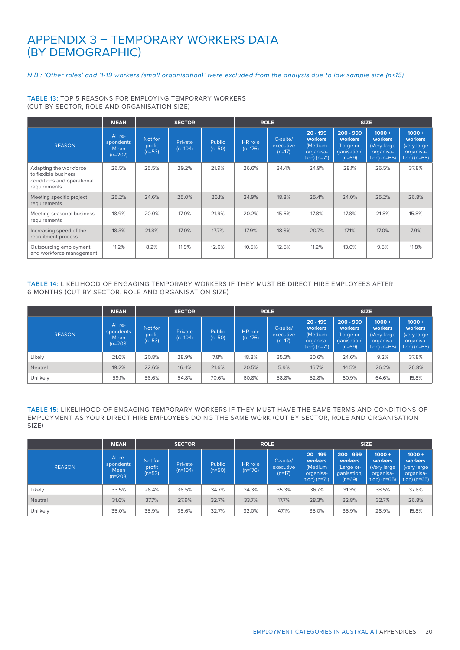## APPENDIX 3 – TEMPORARY WORKERS DATA (BY DEMOGRAPHIC)

#### *N.B.: 'Other roles' and '1-19 workers (small organisation)' were excluded from the analysis due to low sample size (n<15)*

#### TABLE 13: TOP 5 REASONS FOR EMPLOYING TEMPORARY WORKERS (CUT BY SECTOR, ROLE AND ORGANISATION SIZE)

|                                                                                              | <b>MEAN</b>                               | <b>SECTOR</b>                 |                      |                    |                             | <b>ROLE</b>                       | <b>SIZE</b>                                                     |                                                                 |                                                                  |                                                                   |  |
|----------------------------------------------------------------------------------------------|-------------------------------------------|-------------------------------|----------------------|--------------------|-----------------------------|-----------------------------------|-----------------------------------------------------------------|-----------------------------------------------------------------|------------------------------------------------------------------|-------------------------------------------------------------------|--|
| <b>REASON</b>                                                                                | All re-<br>spondents<br>Mean<br>$(n=207)$ | Not for<br>profit<br>$(n=53)$ | Private<br>$(n=104)$ | Public<br>$(n=50)$ | <b>HR</b> role<br>$(n=176)$ | C-suite/<br>executive<br>$(n=17)$ | $20 - 199$<br>workers<br>(Medium<br>organisa-<br>tion) $(n=71)$ | $200 - 999$<br>workers<br>(Large or-<br>qanisation)<br>$(n=69)$ | $1000 +$<br>workers<br>(Very large<br>organisa-<br>$\tan$ (n=65) | $1000 +$<br>workers<br>(very large<br>organisa-<br>$tion)$ (n=65) |  |
| Adapting the workforce<br>to flexible business<br>conditions and operational<br>requirements | 26.5%                                     | 25.5%                         | 29.2%                | 21.9%              | 26.6%                       | 34.4%                             | 24.9%                                                           | 28.1%                                                           | 26.5%                                                            | 37.8%                                                             |  |
| Meeting specific project<br>requirements                                                     | 25.2%                                     | 24.6%                         | 25.0%                | 26.1%              | 24.9%                       | 18.8%                             | 25.4%                                                           | 24.0%                                                           | 25.2%                                                            | 26.8%                                                             |  |
| Meeting seasonal business<br>requirements                                                    | 18.9%                                     | 20.0%                         | 17.0%                | 21.9%              | 20.2%                       | 15.6%                             | 17.8%                                                           | 17.8%                                                           | 21.8%                                                            | 15.8%                                                             |  |
| Increasing speed of the<br>recruitment process                                               | 18.3%                                     | 21.8%                         | 17.0%                | 17.7%              | 17.9%                       | 18.8%                             | 20.7%                                                           | 17.1%                                                           | 17.0%                                                            | 7.9%                                                              |  |
| Outsourcing employment<br>and workforce management                                           | 11.2%                                     | 8.2%                          | 11.9%                | 12.6%              | 10.5%                       | 12.5%                             | 11.2%                                                           | 13.0%                                                           | 9.5%                                                             | 11.8%                                                             |  |

### TABLE 14: LIKELIHOOD OF ENGAGING TEMPORARY WORKERS IF THEY MUST BE DIRECT HIRE EMPLOYEES AFTER 6 MONTHS (CUT BY SECTOR, ROLE AND ORGANISATION SIZE)

|                | <b>MEAN</b>                               |                               | <b>SECTOR</b>               |                           |                      | <b>ROLE</b>                       | <b>SIZE</b>                                                            |                                                                 |                                                                   |                                                                   |  |
|----------------|-------------------------------------------|-------------------------------|-----------------------------|---------------------------|----------------------|-----------------------------------|------------------------------------------------------------------------|-----------------------------------------------------------------|-------------------------------------------------------------------|-------------------------------------------------------------------|--|
| <b>REASON</b>  | All re-<br>spondents<br>Mean<br>$(n=208)$ | Not for<br>profit<br>$(n=53)$ | <b>Private</b><br>$(n=104)$ | <b>Public</b><br>$(n=50)$ | HR role<br>$(n=176)$ | C-suite/<br>executive<br>$(n=17)$ | $20 - 199$<br><b>workers</b><br>(Medium<br>organisa-<br>tion) $(n=71)$ | $200 - 999$<br>workers<br>(Large or-<br>qanisation)<br>$(n=69)$ | $1000 +$<br>workers<br>(Very large)<br>organisa-<br>$\tan$ (n=65) | $1000 +$<br>workers<br>(very large<br>organisa-<br>tion) $(n=65)$ |  |
| Likely         | 21.6%                                     | 20.8%                         | 28.9%                       | 7.8%                      | 18.8%                | 35.3%                             | 30.6%                                                                  | 24.6%                                                           | 9.2%                                                              | 37.8%                                                             |  |
| <b>Neutral</b> | 19.2%                                     | 22.6%                         | 16.4%                       | 21.6%                     | 20.5%                | 5.9%                              | 16.7%                                                                  | 14.5%                                                           | 26.2%                                                             | 26.8%                                                             |  |
| Unlikely       | 59.1%                                     | 56.6%                         | 54.8%                       | 70.6%                     | 60.8%                | 58.8%                             | 52.8%                                                                  | 60.9%                                                           | 64.6%                                                             | 15.8%                                                             |  |

TABLE 15: LIKELIHOOD OF ENGAGING TEMPORARY WORKERS IF THEY MUST HAVE THE SAME TERMS AND CONDITIONS OF EMPLOYMENT AS YOUR DIRECT HIRE EMPLOYEES DOING THE SAME WORK (CUT BY SECTOR, ROLE AND ORGANISATION SIZE)

|               | <b>MEAN</b>                               | <b>SECTOR</b>                 |                      |                    |                      | <b>ROLE</b>                       | <b>SIZE</b>                                                     |                                                                 |                                                                           |                                                                   |  |
|---------------|-------------------------------------------|-------------------------------|----------------------|--------------------|----------------------|-----------------------------------|-----------------------------------------------------------------|-----------------------------------------------------------------|---------------------------------------------------------------------------|-------------------------------------------------------------------|--|
| <b>REASON</b> | All re-<br>spondents<br>Mean<br>$(n=208)$ | Not for<br>profit<br>$(n=53)$ | Private<br>$(n=104)$ | Public<br>$(n=50)$ | HR role<br>$(n=176)$ | C-suite/<br>executive<br>$(n=17)$ | $20 - 199$<br>workers<br>(Medium<br>organisa-<br>tion) $(n=71)$ | $200 - 999$<br>workers<br>(Large or-<br>qanisation)<br>$(n=69)$ | $1000 +$<br><b>workers</b><br>(Very large)<br>organisa-<br>tion) $(n=65)$ | $1000 +$<br>workers<br>(very large<br>organisa-<br>tion) $(n=65)$ |  |
| Likely        | 33.5%                                     | 26.4%                         | 36.5%                | 34.7%              | 34.3%                | 35.3%                             | 36.7%                                                           | 31.3%                                                           | 38.5%                                                                     | 37.8%                                                             |  |
| Neutral       | 31.6%                                     | 37.7%                         | 27.9%                | 32.7%              | 33.7%                | 17.7%                             | 28.3%                                                           | 32.8%                                                           | 32.7%                                                                     | 26.8%                                                             |  |
| Unlikely      | 35.0%                                     | 35.9%                         | 35.6%                | 32.7%              | 32.0%                | 47.1%                             | 35.0%                                                           | 35.9%                                                           | 28.9%                                                                     | 15.8%                                                             |  |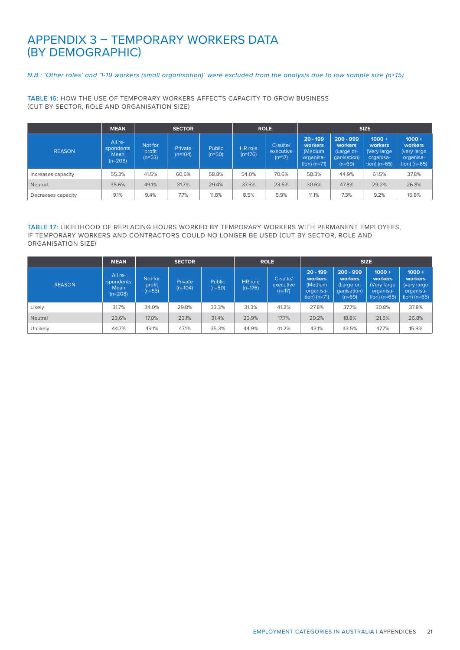## APPENDIX 3 – TEMPORARY WORKERS DATA (BY DEMOGRAPHIC)

### *N.B.: 'Other roles' and '1-19 workers (small organisation)' were excluded from the analysis due to low sample size (n<15)*

TABLE 16: HOW THE USE OF TEMPORARY WORKERS AFFECTS CAPACITY TO GROW BUSINESS (CUT BY SECTOR, ROLE AND ORGANISATION SIZE)

|                    | <b>MEAN</b>                               |                               | <b>SECTOR</b>        |                           |                      | <b>ROLE</b>                       | <b>SIZE</b>                                                     |                                                                 |                                                                  |                                                                      |  |
|--------------------|-------------------------------------------|-------------------------------|----------------------|---------------------------|----------------------|-----------------------------------|-----------------------------------------------------------------|-----------------------------------------------------------------|------------------------------------------------------------------|----------------------------------------------------------------------|--|
| <b>REASON</b>      | All re-<br>spondents<br>Mean<br>$(n=208)$ | Not for<br>profit<br>$(n=53)$ | Private<br>$(n=104)$ | <b>Public</b><br>$(n=50)$ | HR role<br>$(n=176)$ | C-suite/<br>executive<br>$(n=17)$ | $20 - 199$<br>workers<br>(Medium<br>organisa-<br>tion) $(n=71)$ | $200 - 999$<br>workers<br>(Large or-<br>qanisation)<br>$(n=69)$ | $1000 +$<br>workers<br>(Very large)<br>organisa-<br>tion) (n=65) | $1000 +$<br>workers<br>(very large)<br>organisa-<br>tion) ( $n=65$ ) |  |
| Increases capacity | 55.3%                                     | 41.5%                         | 60.6%                | 58.8%                     | 54.0%                | 70.6%                             | 58.3%                                                           | 44.9%                                                           | 61.5%                                                            | 37.8%                                                                |  |
| Neutral            | 35.6%                                     | 49.1%                         | 31.7%                | 29.4%                     | 37.5%                | 23.5%                             | 30.6%                                                           | 47.8%                                                           | 29.2%                                                            | 26.8%                                                                |  |
| Decreases capacity | 9.1%                                      | 9.4%                          | 7.7%                 | 11.8%                     | 8.5%                 | 5.9%                              | 11.1%                                                           | 7.3%                                                            | 9.2%                                                             | 15.8%                                                                |  |

### TABLE 17: LIKELIHOOD OF REPLACING HOURS WORKED BY TEMPORARY WORKERS WITH PERMANENT EMPLOYEES, IF TEMPORARY WORKERS AND CONTRACTORS COULD NO LONGER BE USED (CUT BY SECTOR, ROLE AND ORGANISATION SIZE)

|                | <b>MEAN</b>                               |                               | <b>SECTOR</b>        |                    |                      | <b>ROLE</b>                       | <b>SIZE</b>                                                     |                                                                        |                                                                    |                                                                   |
|----------------|-------------------------------------------|-------------------------------|----------------------|--------------------|----------------------|-----------------------------------|-----------------------------------------------------------------|------------------------------------------------------------------------|--------------------------------------------------------------------|-------------------------------------------------------------------|
| <b>REASON</b>  | All re-<br>spondents<br>Mean<br>$(n=208)$ | Not for<br>profit<br>$(n=53)$ | Private<br>$(n=104)$ | Public<br>$(n=50)$ | HR role<br>$(n=176)$ | C-suite/<br>executive<br>$(n=17)$ | $20 - 199$<br>workers<br>(Medium<br>organisa-<br>tion) $(n=71)$ | $200 - 999$<br><b>workers</b><br>(Large or-<br>qanisation)<br>$(n=69)$ | $1000 +$<br>workers<br>(Very large)<br>organisa-<br>tion) $(n=65)$ | $1000 +$<br>workers<br>(very large<br>organisa-<br>tion) $(n=65)$ |
| Likely         | 31.7%                                     | 34.0%                         | 29.8%                | 33.3%              | 31.3%                | 41.2%                             | 27.8%                                                           | 37.7%                                                                  | 30.8%                                                              | 37.8%                                                             |
| <b>Neutral</b> | 23.6%                                     | 17.0%                         | 23.1%                | 31.4%              | 23.9%                | 17.7%                             | 29.2%                                                           | 18.8%                                                                  | 21.5%                                                              | 26.8%                                                             |
| Unlikely       | 44.7%                                     | 49.1%                         | 47.1%                | 35.3%              | 44.9%                | 41.2%                             | 43.1%                                                           | 43.5%                                                                  | 47.7%                                                              | 15.8%                                                             |